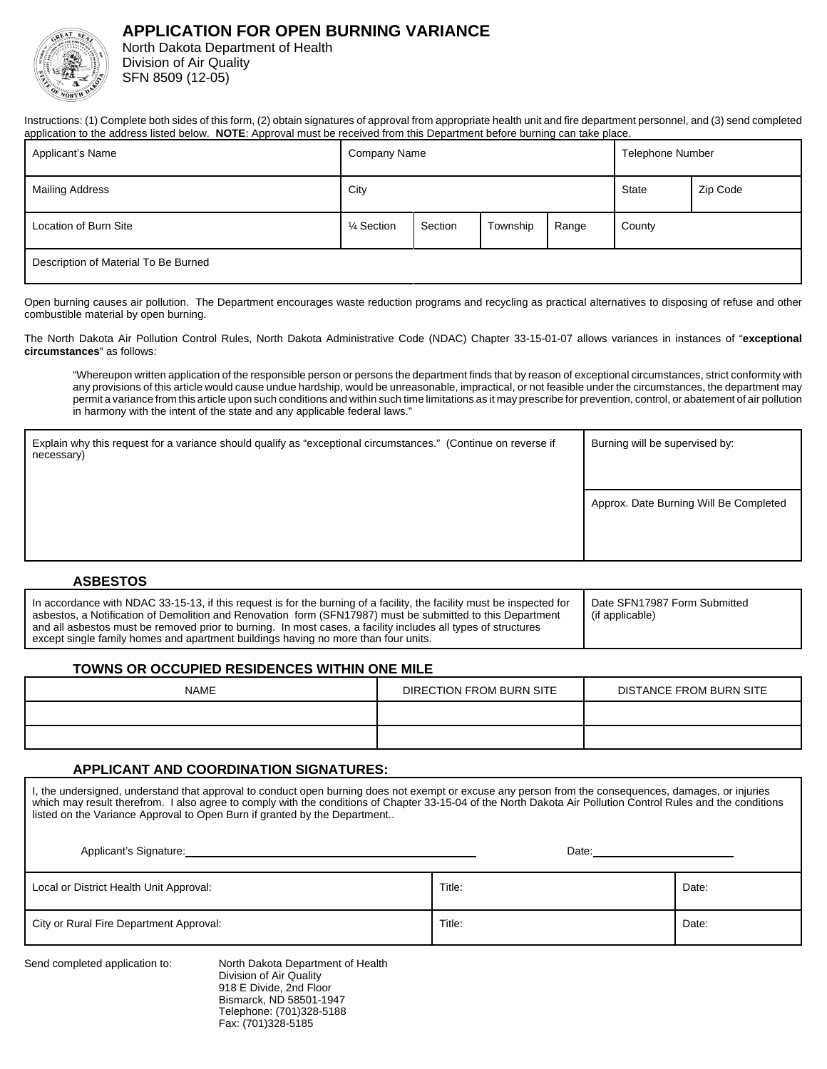# **APPLICATION FOR OPEN BURNING VARIANCE**



North Dakota Department of Health Division of Air Quality SFN 8509 (12-05)

Instructions: (1) Complete both sides of this form, (2) obtain signatures of approval from appropriate health unit and fire department personnel, and (3) send completed application to the address listed below. **NOTE**: Approval must be received from this Department before burning can take place.

| Applicant's Name                     | <b>Company Name</b> |         |          | <b>Telephone Number</b> |          |  |
|--------------------------------------|---------------------|---------|----------|-------------------------|----------|--|
| <b>Mailing Address</b>               | City                |         |          | <b>State</b>            | Zip Code |  |
| Location of Burn Site                | 1⁄4 Section         | Section | Township | Range                   | County   |  |
| Description of Material To Be Burned |                     |         |          |                         |          |  |

Open burning causes air pollution. The Department encourages waste reduction programs and recycling as practical alternatives to disposing of refuse and other combustible material by open burning.

The North Dakota Air Pollution Control Rules, North Dakota Administrative Code (NDAC) Chapter 33-15-01-07 allows variances in instances of "**exceptional circumstances**" as follows:

"Whereupon written application of the responsible person or persons the department finds that by reason of exceptional circumstances, strict conformity with any provisions of this article would cause undue hardship, would be unreasonable, impractical, or not feasible under the circumstances, the department may permit a variance from this article upon such conditions and within such time limitations as it may prescribe for prevention, control, or abatement of air pollution in harmony with the intent of the state and any applicable federal laws."

| Explain why this request for a variance should qualify as "exceptional circumstances." (Continue on reverse if<br>necessary) | Burning will be supervised by:         |  |
|------------------------------------------------------------------------------------------------------------------------------|----------------------------------------|--|
|                                                                                                                              | Approx. Date Burning Will Be Completed |  |

### **ASBESTOS**

| In accordance with NDAC 33-15-13, if this request is for the burning of a facility, the facility must be inspected for<br>asbestos, a Notification of Demolition and Renovation form (SFN17987) must be submitted to this Department<br>and all asbestos must be removed prior to burning. In most cases, a facility includes all types of structures<br>except single family homes and apartment buildings having no more than four units. | Date SFN17987 Form Submitted<br>(if applicable) |
|---------------------------------------------------------------------------------------------------------------------------------------------------------------------------------------------------------------------------------------------------------------------------------------------------------------------------------------------------------------------------------------------------------------------------------------------|-------------------------------------------------|
|---------------------------------------------------------------------------------------------------------------------------------------------------------------------------------------------------------------------------------------------------------------------------------------------------------------------------------------------------------------------------------------------------------------------------------------------|-------------------------------------------------|

### **TOWNS OR OCCUPIED RESIDENCES WITHIN ONE MILE**

| <b>NAME</b> | DIRECTION FROM BURN SITE | DISTANCE FROM BURN SITE |
|-------------|--------------------------|-------------------------|
|             |                          |                         |
|             |                          |                         |

#### **APPLICANT AND COORDINATION SIGNATURES:**

I, the undersigned, understand that approval to conduct open burning does not exempt or excuse any person from the consequences, damages, or injuries which may result therefrom. I also agree to comply with the conditions of Chapter 33-15-04 of the North Dakota Air Pollution Control Rules and the conditions listed on the Variance Approval to Open Burn if granted by the Department..

| Applicant's Signature:                  | Date:  |       |
|-----------------------------------------|--------|-------|
| Local or District Health Unit Approval: | Title: | Date: |
| City or Rural Fire Department Approval: | Title: | Date: |

Send completed application to: North Dakota Department of Health Division of Air Quality 918 E Divide, 2nd Floor Bismarck, ND 58501-1947 Telephone: (701)328-5188 Fax: (701)328-5185